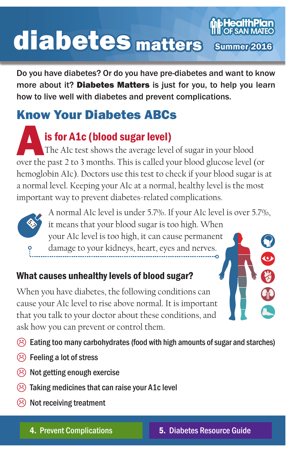# **bHealthPlan** diabetes mattersSummer 2016

Do you have diabetes? Or do you have pre-diabetes and want to know more about it? Diabetes Matters is just for you, to help you learn how to live well with diabetes and prevent complications.

# Know Your Diabetes ABCs

**is for A1c (blood sugar level)**<br>The Alc test shows the average level of sugar in your blood<br>over the past 2 to 3 months. This is called your blood glucose level (or The A1c test shows the average level of sugar in your blood hemoglobin A1c). Doctors use this test to check if your blood sugar is at a normal level. Keeping your AIc at a normal, healthy level is the most important way to prevent diabetes-related complications.



A normal A1c level is under 5.7%. If your A1c level is over 5.7%, it means that your blood sugar is too high. When your A1c level is too high, it can cause permanent damage to your kidneys, heart, eyes and nerves.  $\bullet$ 

# What causes unhealthy levels of blood sugar?

When you have diabetes, the following conditions can cause your A1c level to rise above normal. It is important that you talk to your doctor about these conditions, and ask how you can prevent or control them.

 $\langle \hat{\cdot} \rangle$  Eating too many carbohydrates (food with high amounts of sugar and starches)

- $\circledR$  Feeling a lot of stress
- $\circled{c}$  Not getting enough exercise
- $\odot$  Taking medicines that can raise your A1c level
- $\circledR$  Not receiving treatment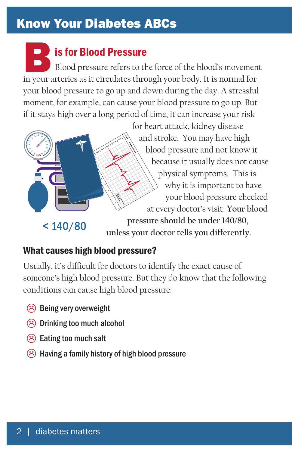# Know Your Diabetes ABCs

IS for Blood Pressure<br>
Blood pressure refers to the force of the blood's movemen<br>
in your arteries as it circulates through your body. It is normal for Blood pressure refers to the force of the blood's movement your blood pressure to go up and down during the day. A stressful moment, for example, can cause your blood pressure to go up. But if it stays high over a long period of time, it can increase your risk



for heart attack, kidney disease and stroke. You may have high blood pressure and not know it because it usually does not cause physical symptoms. This is why it is important to have your blood pressure checked at every doctor's visit. **Your blood pressure should be under 140/80, unless your doctor tells you differently.**

## What causes high blood pressure?

Usually, it's difficult for doctors to identify the exact cause of someone's high blood pressure. But they do know that the following conditions can cause high blood pressure:

- $\circledR$  Being very overweight
- $\circledR$  Drinking too much alcohol
- $\circledR$  Eating too much salt
- $\circled{c}$  Having a family history of high blood pressure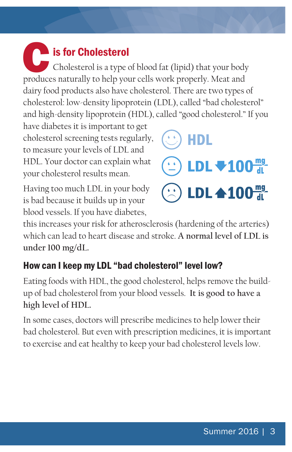# **Cis for Cholesterol** Cholesterol is a type of blood fat (lipid) that your body produces naturally to help your cells work properly. Meat and dairy food products also have cholesterol. There are two types of cholesterol: low-density lipoprotein (LDL), called "bad cholesterol" and high-density lipoprotein (HDL), called "good cholesterol." If you

have diabetes it is important to get cholesterol screening tests regularly, to measure your levels of LDL and HDL. Your doctor can explain what your cholesterol results mean.

Having too much LDL in your body is bad because it builds up in your blood vessels. If you have diabetes,



this increases your risk for atherosclerosis (hardening of the arteries) which can lead to heart disease and stroke. **A normal level of LDL is under 100 mg/dL.**

# How can I keep my LDL "bad cholesterol" level low?

Eating foods with HDL, the good cholesterol, helps remove the buildup of bad cholesterol from your blood vessels. **It is good to have a high level of HDL.** 

In some cases, doctors will prescribe medicines to help lower their bad cholesterol. But even with prescription medicines, it is important to exercise and eat healthy to keep your bad cholesterol levels low.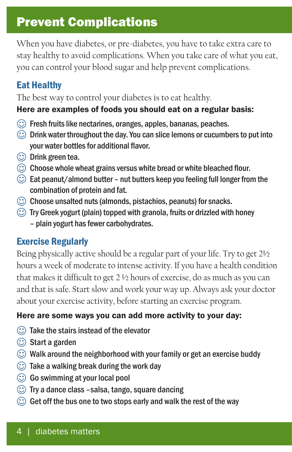# Prevent Complications

When you have diabetes, or pre-diabetes, you have to take extra care to stay healthy to avoid complications. When you take care of what you eat, you can control your blood sugar and help prevent complications.

## Eat Healthy

The best way to control your diabetes is to eat healthy.

### Here are examples of foods you should eat on a regular basis:

- $\odot$  Fresh fruits like nectarines, oranges, apples, bananas, peaches.
- $\odot$  Drink water throughout the day. You can slice lemons or cucumbers to put into your water bottles for additional flavor.
- $\circled{c}$  Drink green tea.
- $\odot$  Choose whole wheat grains versus white bread or white bleached flour.
- $\odot$  Eat peanut/almond butter nut butters keep you feeling full longer from the combination of protein and fat.
- $\odot$  Choose unsalted nuts (almonds, pistachios, peanuts) for snacks.
- $\odot$  Try Greek yogurt (plain) topped with granola, fruits or drizzled with honey – plain yogurt has fewer carbohydrates.

# Exercise Regularly

Being physically active should be a regular part of your life. Try to get 2½ hours a week of moderate to intense activity. If you have a health condition that makes it difficult to get 2 ½ hours of exercise, do as much as you can and that is safe. Start slow and work your way up. Always ask your doctor about your exercise activity, before starting an exercise program.

### Here are some ways you can add more activity to your day:

- $\odot$  Take the stairs instead of the elevator
- $\circled{c}$  Start a garden
- $\circled{c}$  Walk around the neighborhood with your family or get an exercise buddy
- $\odot$  Take a walking break during the work day
- $\odot$  Go swimming at your local pool
- $\circled{c}$  Try a dance class –salsa, tango, square dancing
- $\odot$  Get off the bus one to two stops early and walk the rest of the way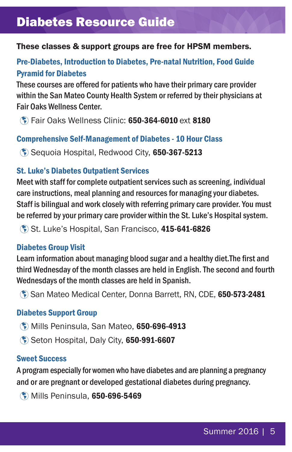# Diabetes Resource Guide

### These classes & support groups are free for HPSM members.

### Pre-Diabetes, Introduction to Diabetes, Pre-natal Nutrition, Food Guide Pyramid for Diabetes

These courses are offered for patients who have their primary care provider within the San Mateo County Health System or referred by their physicians at Fair Oaks Wellness Center.

à Fair Oaks Wellness Clinic: 650-364-6010 ext 8180

#### Comprehensive Self-Management of Diabetes - 10 Hour Class

à Sequoia Hospital, Redwood City, 650-367-5213

#### St. Luke's Diabetes Outpatient Services

Meet with staff for complete outpatient services such as screening, individual care instructions, meal planning and resources for managing your diabetes. Staff is bilingual and work closely with referring primary care provider. You must be referred by your primary care provider within the St. Luke's Hospital system.

à St. Luke's Hospital, San Francisco, 415-641-6826

#### Diabetes Group Visit

Learn information about managing blood sugar and a healthy diet.The first and third Wednesday of the month classes are held in English. The second and fourth Wednesdays of the month classes are held in Spanish.

à San Mateo Medical Center, Donna Barrett, RN, CDE, 650-573-2481

#### Diabetes Support Group

- à Mills Peninsula, San Mateo, 650-696-4913
- à Seton Hospital, Daly City, 650-991-6607

#### Sweet Success

A program especially for women who have diabetes and are planning a pregnancy and or are pregnant or developed gestational diabetes during pregnancy.

à Mills Peninsula, 650-696-5469